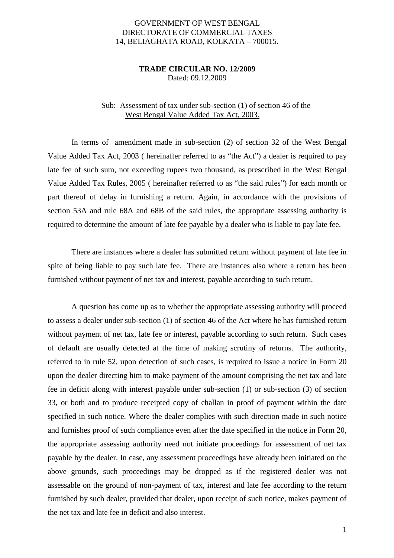## GOVERNMENT OF WEST BENGAL DIRECTORATE OF COMMERCIAL TAXES 14, BELIAGHATA ROAD, KOLKATA – 700015.

## **TRADE CIRCULAR NO. 12/2009** Dated: 09.12.2009

## Sub: Assessment of tax under sub-section (1) of section 46 of the West Bengal Value Added Tax Act, 2003.

 In terms of amendment made in sub-section (2) of section 32 of the West Bengal Value Added Tax Act, 2003 ( hereinafter referred to as "the Act") a dealer is required to pay late fee of such sum, not exceeding rupees two thousand, as prescribed in the West Bengal Value Added Tax Rules, 2005 ( hereinafter referred to as "the said rules") for each month or part thereof of delay in furnishing a return. Again, in accordance with the provisions of section 53A and rule 68A and 68B of the said rules, the appropriate assessing authority is required to determine the amount of late fee payable by a dealer who is liable to pay late fee.

 There are instances where a dealer has submitted return without payment of late fee in spite of being liable to pay such late fee. There are instances also where a return has been furnished without payment of net tax and interest, payable according to such return.

 A question has come up as to whether the appropriate assessing authority will proceed to assess a dealer under sub-section (1) of section 46 of the Act where he has furnished return without payment of net tax, late fee or interest, payable according to such return. Such cases of default are usually detected at the time of making scrutiny of returns. The authority, referred to in rule 52, upon detection of such cases, is required to issue a notice in Form 20 upon the dealer directing him to make payment of the amount comprising the net tax and late fee in deficit along with interest payable under sub-section (1) or sub-section (3) of section 33, or both and to produce receipted copy of challan in proof of payment within the date specified in such notice. Where the dealer complies with such direction made in such notice and furnishes proof of such compliance even after the date specified in the notice in Form 20, the appropriate assessing authority need not initiate proceedings for assessment of net tax payable by the dealer. In case, any assessment proceedings have already been initiated on the above grounds, such proceedings may be dropped as if the registered dealer was not assessable on the ground of non-payment of tax, interest and late fee according to the return furnished by such dealer, provided that dealer, upon receipt of such notice, makes payment of the net tax and late fee in deficit and also interest.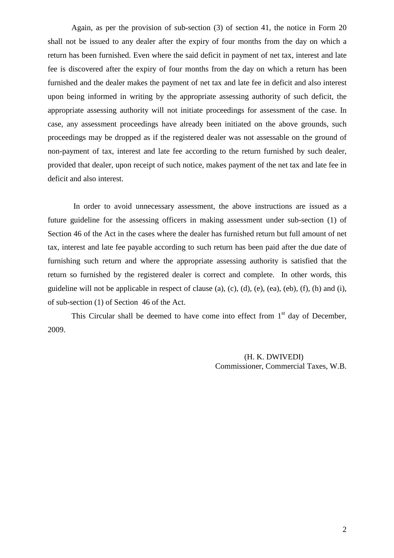Again, as per the provision of sub-section (3) of section 41, the notice in Form 20 shall not be issued to any dealer after the expiry of four months from the day on which a return has been furnished. Even where the said deficit in payment of net tax, interest and late fee is discovered after the expiry of four months from the day on which a return has been furnished and the dealer makes the payment of net tax and late fee in deficit and also interest upon being informed in writing by the appropriate assessing authority of such deficit, the appropriate assessing authority will not initiate proceedings for assessment of the case. In case, any assessment proceedings have already been initiated on the above grounds, such proceedings may be dropped as if the registered dealer was not assessable on the ground of non-payment of tax, interest and late fee according to the return furnished by such dealer, provided that dealer, upon receipt of such notice, makes payment of the net tax and late fee in deficit and also interest.

 In order to avoid unnecessary assessment, the above instructions are issued as a future guideline for the assessing officers in making assessment under sub-section (1) of Section 46 of the Act in the cases where the dealer has furnished return but full amount of net tax, interest and late fee payable according to such return has been paid after the due date of furnishing such return and where the appropriate assessing authority is satisfied that the return so furnished by the registered dealer is correct and complete. In other words, this guideline will not be applicable in respect of clause (a), (c), (d), (e), (ea), (eb), (f), (h) and (i), of sub-section (1) of Section 46 of the Act.

This Circular shall be deemed to have come into effect from  $1<sup>st</sup>$  day of December, 2009.

> (H. K. DWIVEDI) Commissioner, Commercial Taxes, W.B.